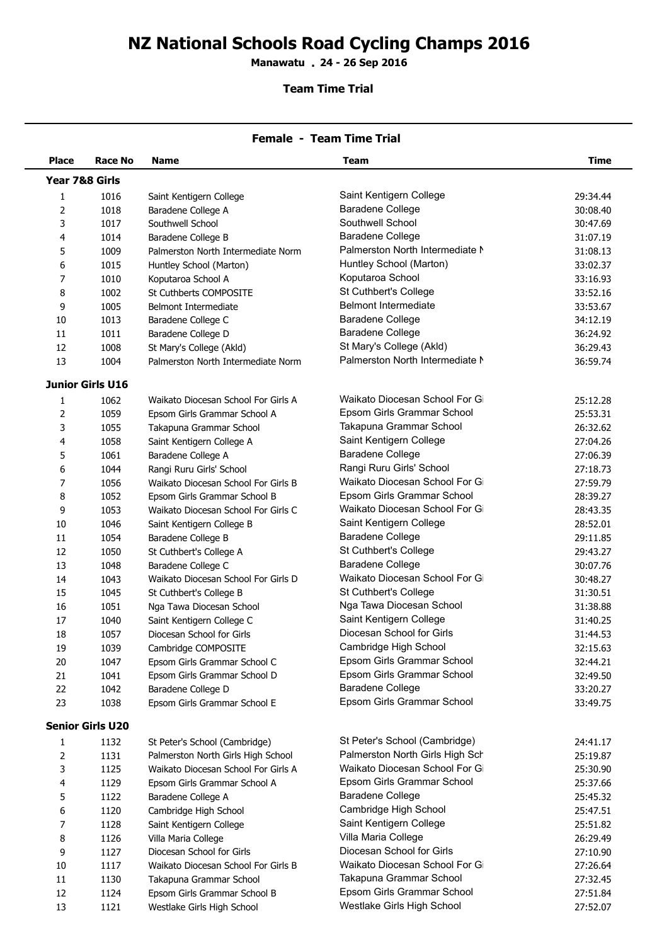## **NZ National Schools Road Cycling Champs 2016**

**Manawatu 24 - 26 Sep 2016 .**

## **Team Time Trial**

| <b>Female - Team Time Trial</b> |                         |                                                        |                                 |                      |  |  |
|---------------------------------|-------------------------|--------------------------------------------------------|---------------------------------|----------------------|--|--|
| <b>Place</b>                    | Race No                 | <b>Name</b>                                            | Team                            | <b>Time</b>          |  |  |
| Year 7&8 Girls                  |                         |                                                        |                                 |                      |  |  |
| 1                               | 1016                    | Saint Kentigern College                                | Saint Kentigern College         | 29:34.44             |  |  |
| 2                               | 1018                    | Baradene College A                                     | <b>Baradene College</b>         | 30:08.40             |  |  |
| 3                               | 1017                    | Southwell School                                       | Southwell School                | 30:47.69             |  |  |
| 4                               | 1014                    | Baradene College B                                     | <b>Baradene College</b>         | 31:07.19             |  |  |
| 5                               | 1009                    | Palmerston North Intermediate Norm                     | Palmerston North Intermediate N | 31:08.13             |  |  |
| 6                               | 1015                    | Huntley School (Marton)                                | Huntley School (Marton)         | 33:02.37             |  |  |
| 7                               | 1010                    | Koputaroa School A                                     | Koputaroa School                | 33:16.93             |  |  |
| 8                               | 1002                    | St Cuthberts COMPOSITE                                 | St Cuthbert's College           | 33:52.16             |  |  |
| 9                               | 1005                    | <b>Belmont Intermediate</b>                            | <b>Belmont Intermediate</b>     | 33:53.67             |  |  |
| 10                              | 1013                    | Baradene College C                                     | <b>Baradene College</b>         | 34:12.19             |  |  |
| 11                              | 1011                    | Baradene College D                                     | <b>Baradene College</b>         | 36:24.92             |  |  |
| 12                              | 1008                    | St Mary's College (Akld)                               | St Mary's College (Akld)        | 36:29.43             |  |  |
| 13                              | 1004                    | Palmerston North Intermediate Norm                     | Palmerston North Intermediate N | 36:59.74             |  |  |
|                                 | <b>Junior Girls U16</b> |                                                        |                                 |                      |  |  |
| 1                               | 1062                    | Waikato Diocesan School For Girls A                    | Waikato Diocesan School For Gi  | 25:12.28             |  |  |
| 2                               | 1059                    | Epsom Girls Grammar School A                           | Epsom Girls Grammar School      | 25:53.31             |  |  |
| 3                               | 1055                    | Takapuna Grammar School                                | Takapuna Grammar School         | 26:32.62             |  |  |
| 4                               | 1058                    | Saint Kentigern College A                              | Saint Kentigern College         | 27:04.26             |  |  |
| 5                               | 1061                    | Baradene College A                                     | <b>Baradene College</b>         | 27:06.39             |  |  |
| 6                               | 1044                    | Rangi Ruru Girls' School                               | Rangi Ruru Girls' School        | 27:18.73             |  |  |
| 7                               | 1056                    | Waikato Diocesan School For Girls B                    | Waikato Diocesan School For Gi  | 27:59.79             |  |  |
| 8                               | 1052                    | Epsom Girls Grammar School B                           | Epsom Girls Grammar School      | 28:39.27             |  |  |
| 9                               | 1053                    | Waikato Diocesan School For Girls C                    | Waikato Diocesan School For Gi  | 28:43.35             |  |  |
| 10                              | 1046                    | Saint Kentigern College B                              | Saint Kentigern College         | 28:52.01             |  |  |
| $11\,$                          | 1054                    | Baradene College B                                     | <b>Baradene College</b>         | 29:11.85             |  |  |
| 12                              | 1050                    | St Cuthbert's College A                                | St Cuthbert's College           | 29:43.27             |  |  |
| 13                              | 1048                    | Baradene College C                                     | <b>Baradene College</b>         | 30:07.76             |  |  |
| 14                              | 1043                    | Waikato Diocesan School For Girls D                    | Waikato Diocesan School For Gi  | 30:48.27             |  |  |
| 15                              | 1045                    | St Cuthbert's College B                                | St Cuthbert's College           | 31:30.51             |  |  |
| 16                              | 1051                    | Nga Tawa Diocesan School                               | Nga Tawa Diocesan School        | 31:38.88             |  |  |
| 17                              | 1040                    |                                                        | Saint Kentigern College         | 31:40.25             |  |  |
|                                 |                         | Saint Kentigern College C<br>Diocesan School for Girls | Diocesan School for Girls       |                      |  |  |
| 18                              | 1057                    |                                                        | Cambridge High School           | 31:44.53             |  |  |
| 19                              | 1039                    | Cambridge COMPOSITE                                    | Epsom Girls Grammar School      | 32:15.63             |  |  |
| 20                              | 1047                    | Epsom Girls Grammar School C                           | Epsom Girls Grammar School      | 32:44.21             |  |  |
| 21                              | 1041                    | Epsom Girls Grammar School D                           | Baradene College                | 32:49.50             |  |  |
| 22<br>23                        | 1042<br>1038            | Baradene College D<br>Epsom Girls Grammar School E     | Epsom Girls Grammar School      | 33:20.27<br>33:49.75 |  |  |
|                                 |                         |                                                        |                                 |                      |  |  |
|                                 | <b>Senior Girls U20</b> |                                                        |                                 |                      |  |  |
| 1                               | 1132                    | St Peter's School (Cambridge)                          | St Peter's School (Cambridge)   | 24:41.17             |  |  |
| 2                               | 1131                    | Palmerston North Girls High School                     | Palmerston North Girls High Sch | 25:19.87             |  |  |
| 3                               | 1125                    | Waikato Diocesan School For Girls A                    | Waikato Diocesan School For Gi  | 25:30.90             |  |  |
| 4                               | 1129                    | Epsom Girls Grammar School A                           | Epsom Girls Grammar School      | 25:37.66             |  |  |
| 5                               | 1122                    | Baradene College A                                     | <b>Baradene College</b>         | 25:45.32             |  |  |
| 6                               | 1120                    | Cambridge High School                                  | Cambridge High School           | 25:47.51             |  |  |
| 7                               | 1128                    | Saint Kentigern College                                | Saint Kentigern College         | 25:51.82             |  |  |
| 8                               | 1126                    | Villa Maria College                                    | Villa Maria College             | 26:29.49             |  |  |
| 9                               | 1127                    | Diocesan School for Girls                              | Diocesan School for Girls       | 27:10.90             |  |  |
| 10                              | 1117                    | Waikato Diocesan School For Girls B                    | Waikato Diocesan School For Gi  | 27:26.64             |  |  |
| 11                              | 1130                    | Takapuna Grammar School                                | Takapuna Grammar School         | 27:32.45             |  |  |
| 12                              | 1124                    | Epsom Girls Grammar School B                           | Epsom Girls Grammar School      | 27:51.84             |  |  |

1124 Epsom Girls Grammar School B Epsom Girls Grammar School 27:51.84

1121 Westlake Girls High School Westlake Girls High School 27:52.07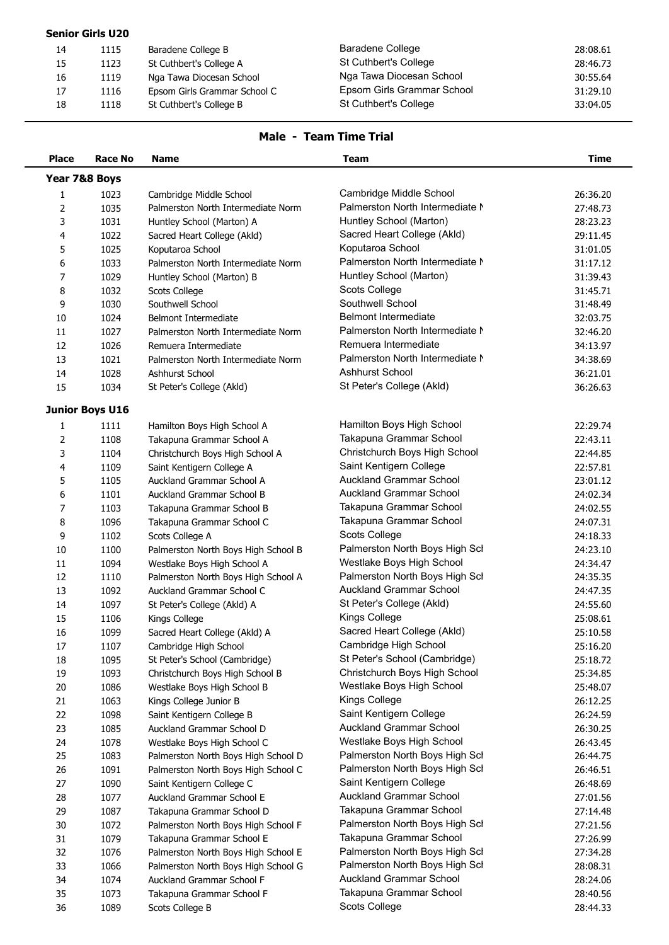| <b>Senior Girls U20</b> |      |                              |                            |          |  |
|-------------------------|------|------------------------------|----------------------------|----------|--|
| 14                      | 1115 | Baradene College B           | Baradene College           | 28:08.61 |  |
| 15                      | 1123 | St Cuthbert's College A      | St Cuthbert's College      | 28:46.73 |  |
| 16                      | 1119 | Nga Tawa Diocesan School     | Nga Tawa Diocesan School   | 30:55.64 |  |
| 17                      | 1116 | Epsom Girls Grammar School C | Epsom Girls Grammar School | 31:29.10 |  |
| 18                      | 1118 | St Cuthbert's College B      | St Cuthbert's College      | 33:04.05 |  |
|                         |      |                              |                            |          |  |

## **Male - Team Time Trial**

| <b>Place</b>  | Race No                | Name                                | <b>Team</b>                     | <b>Time</b> |
|---------------|------------------------|-------------------------------------|---------------------------------|-------------|
| Year 7&8 Boys |                        |                                     |                                 |             |
| $\mathbf{1}$  | 1023                   | Cambridge Middle School             | Cambridge Middle School         | 26:36.20    |
| 2             | 1035                   | Palmerston North Intermediate Norm  | Palmerston North Intermediate M | 27:48.73    |
| 3             | 1031                   | Huntley School (Marton) A           | Huntley School (Marton)         | 28:23.23    |
| 4             | 1022                   | Sacred Heart College (Akld)         | Sacred Heart College (Akld)     | 29:11.45    |
| 5             | 1025                   | Koputaroa School                    | Koputaroa School                | 31:01.05    |
| 6             | 1033                   | Palmerston North Intermediate Norm  | Palmerston North Intermediate N | 31:17.12    |
| 7             | 1029                   | Huntley School (Marton) B           | Huntley School (Marton)         | 31:39.43    |
| 8             | 1032                   | <b>Scots College</b>                | Scots College                   | 31:45.71    |
| 9             | 1030                   | Southwell School                    | Southwell School                | 31:48.49    |
| 10            | 1024                   | Belmont Intermediate                | <b>Belmont Intermediate</b>     | 32:03.75    |
| 11            | 1027                   | Palmerston North Intermediate Norm  | Palmerston North Intermediate N | 32:46.20    |
| 12            | 1026                   | Remuera Intermediate                | Remuera Intermediate            | 34:13.97    |
| 13            | 1021                   | Palmerston North Intermediate Norm  | Palmerston North Intermediate N | 34:38.69    |
| 14            | 1028                   | Ashhurst School                     | Ashhurst School                 | 36:21.01    |
| 15            | 1034                   | St Peter's College (Akld)           | St Peter's College (Akld)       | 36:26.63    |
|               |                        |                                     |                                 |             |
|               | <b>Junior Boys U16</b> |                                     |                                 |             |
| 1             | 1111                   | Hamilton Boys High School A         | Hamilton Boys High School       | 22:29.74    |
| 2             | 1108                   | Takapuna Grammar School A           | Takapuna Grammar School         | 22:43.11    |
| 3             | 1104                   | Christchurch Boys High School A     | Christchurch Boys High School   | 22:44.85    |
| 4             | 1109                   | Saint Kentigern College A           | Saint Kentigern College         | 22:57.81    |
| 5             | 1105                   | Auckland Grammar School A           | <b>Auckland Grammar School</b>  | 23:01.12    |
| 6             | 1101                   | Auckland Grammar School B           | <b>Auckland Grammar School</b>  | 24:02.34    |
| 7             | 1103                   | Takapuna Grammar School B           | Takapuna Grammar School         | 24:02.55    |
| 8             | 1096                   | Takapuna Grammar School C           | Takapuna Grammar School         | 24:07.31    |
| 9             | 1102                   | Scots College A                     | Scots College                   | 24:18.33    |
| 10            | 1100                   | Palmerston North Boys High School B | Palmerston North Boys High Scl  | 24:23.10    |
| 11            | 1094                   | Westlake Boys High School A         | Westlake Boys High School       | 24:34.47    |
| 12            | 1110                   | Palmerston North Boys High School A | Palmerston North Boys High Scl  | 24:35.35    |
| 13            | 1092                   | Auckland Grammar School C           | <b>Auckland Grammar School</b>  | 24:47.35    |
| 14            | 1097                   | St Peter's College (Akld) A         | St Peter's College (Akld)       | 24:55.60    |
| 15            | 1106                   | Kings College                       | Kings College                   | 25:08.61    |
| 16            | 1099                   | Sacred Heart College (Akld) A       | Sacred Heart College (Akld)     | 25:10.58    |
| 17            | 1107                   | Cambridge High School               | Cambridge High School           | 25:16.20    |
| 18            | 1095                   | St Peter's School (Cambridge)       | St Peter's School (Cambridge)   | 25:18.72    |
| 19            | 1093                   | Christchurch Boys High School B     | Christchurch Boys High School   | 25:34.85    |
| 20            | 1086                   | Westlake Boys High School B         | Westlake Boys High School       | 25:48.07    |
| 21            | 1063                   | Kings College Junior B              | Kings College                   | 26:12.25    |
| 22            | 1098                   | Saint Kentigern College B           | Saint Kentigern College         | 26:24.59    |
| 23            | 1085                   | Auckland Grammar School D           | <b>Auckland Grammar School</b>  | 26:30.25    |
| 24            | 1078                   | Westlake Boys High School C         | Westlake Boys High School       | 26:43.45    |
| 25            | 1083                   | Palmerston North Boys High School D | Palmerston North Boys High Scl  | 26:44.75    |
| 26            | 1091                   | Palmerston North Boys High School C | Palmerston North Boys High Scl  | 26:46.51    |
| 27            | 1090                   | Saint Kentigern College C           | Saint Kentigern College         | 26:48.69    |
| 28            | 1077                   | Auckland Grammar School E           | <b>Auckland Grammar School</b>  | 27:01.56    |
| 29            | 1087                   | Takapuna Grammar School D           | Takapuna Grammar School         | 27:14.48    |
| 30            | 1072                   | Palmerston North Boys High School F | Palmerston North Boys High Scl  | 27:21.56    |
| 31            | 1079                   | Takapuna Grammar School E           | Takapuna Grammar School         | 27:26.99    |
| 32            | 1076                   | Palmerston North Boys High School E | Palmerston North Boys High Scl  | 27:34.28    |
| 33            | 1066                   | Palmerston North Boys High School G | Palmerston North Boys High Scl  | 28:08.31    |
| 34            | 1074                   | Auckland Grammar School F           | <b>Auckland Grammar School</b>  | 28:24.06    |
| 35            | 1073                   | Takapuna Grammar School F           | Takapuna Grammar School         | 28:40.56    |
| 36            | 1089                   | Scots College B                     | Scots College                   | 28:44.33    |
|               |                        |                                     |                                 |             |